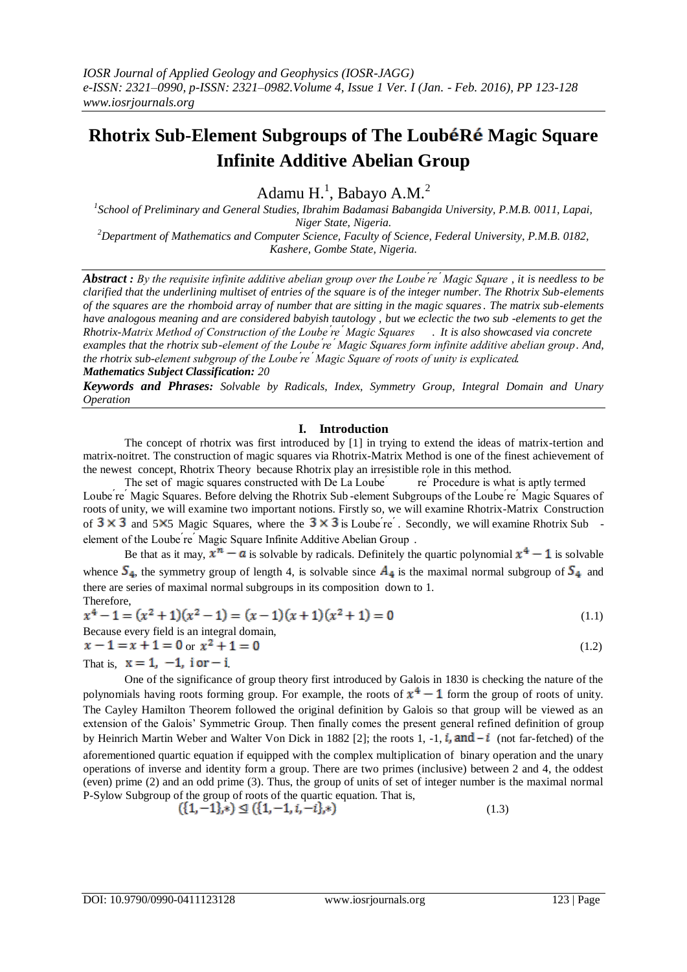# **Rhotrix Sub-Element Subgroups of The LoubéRé Magic Square Infinite Additive Abelian Group**

Adamu  $H<sup>1</sup>$ , Babayo A.M.<sup>2</sup>

*1 School of Preliminary and General Studies, Ibrahim Badamasi Babangida University, P.M.B. 0011, Lapai, Niger State, Nigeria. <sup>2</sup>Department of Mathematics and Computer Science, Faculty of Science, Federal University, P.M.B. 0182,* 

*Kashere, Gombe State, Nigeria.* 

**Abstract**: By the requisite infinite additive abelian group over the Loube re Magic Square, it is needless to be *clarified that the underlining multiset of entries of the square is of the integer number. The Rhotrix Sub-elements of the squares are the rhomboid array of number that are sitting in the magic squares. The matrix sub-elements have analogous meaning and are considered babyish tautology , but we eclectic the two sub -elements to get the Rhotrix-Matrix Method of Construction of the Loube ́re ́Magic Squares . It is also showcased via concrete examples that the rhotrix sub-element of the Loube ́re ́Magic Squares form infinite additive abelian group. And, the rhotrix sub-element subgroup of the Loube ́re ́Magic Square of roots of unity is explicated. Mathematics Subject Classification: 20*

*Keywords and Phrases: Solvable by Radicals, Index, Symmetry Group, Integral Domain and Unary Operation*

## **I. Introduction**

The concept of rhotrix was first introduced by [1] in trying to extend the ideas of matrix-tertion and matrix-noitret. The construction of magic squares via Rhotrix-Matrix Method is one of the finest achievement of the newest concept, Rhotrix Theory because Rhotrix play an irresistible role in this method.

The set of magic squares constructed with De La Loube  $\epsilon$  re  $\epsilon$  Procedure is what is aptly termed Loube ́re ́Magic Squares. Before delving the Rhotrix Sub -element Subgroups of the Loube ́re ́Magic Squares of roots of unity, we will examine two important notions. Firstly so, we will examine Rhotrix-Matrix Construction of  $3 \times 3$  and  $5 \times 5$  Magic Squares, where the  $3 \times 3$  is Loube re  $\overline{}'$ . Secondly, we will examine Rhotrix Sub element of the Loube're' Magic Square Infinite Additive Abelian Group.

Be that as it may,  $x^n - a$  is solvable by radicals. Definitely the quartic polynomial  $x^4 - 1$  is solvable whence  $S_4$ , the symmetry group of length 4, is solvable since  $A_4$  is the maximal normal subgroup of  $S_4$  and there are series of maximal normal subgroups in its composition down to 1. Therefore,

$$
x4 - 1 = (x2 + 1)(x2 - 1) = (x - 1)(x + 1)(x2 + 1) = 0
$$
  
Because every field is an integral domain,  
 $x - 1 = x + 1 = 0$   $x2 + 1 = 0$  (1.2)

$$
x - 1 = x + 1 = 0 \text{ or } x^2 + 1 = 0
$$
  
That is,  $x = 1, -1, i$  or  $-i$  (1.2)

One of the significance of group theory first introduced by Galois in 1830 is checking the nature of the polynomials having roots forming group. For example, the roots of  $x^4 - 1$  form the group of roots of unity. The Cayley Hamilton Theorem followed the original definition by Galois so that group will be viewed as an extension of the Galois' Symmetric Group. Then finally comes the present general refined definition of group by Heinrich Martin Weber and Walter Von Dick in 1882 [2]; the roots 1, -1,  $\hat{i}$ , and  $-\hat{i}$  (not far-fetched) of the aforementioned quartic equation if equipped with the complex multiplication of binary operation and the unary operations of inverse and identity form a group. There are two primes (inclusive) between 2 and 4, the oddest (even) prime (2) and an odd prime (3). Thus, the group of units of set of integer number is the maximal normal P-Sylow Subgroup of the group of roots of the quartic equation. That is,

$$
\{1, -1\}, *) \subseteq (\{1, -1, i, -i\}, *)
$$
\n(1.3)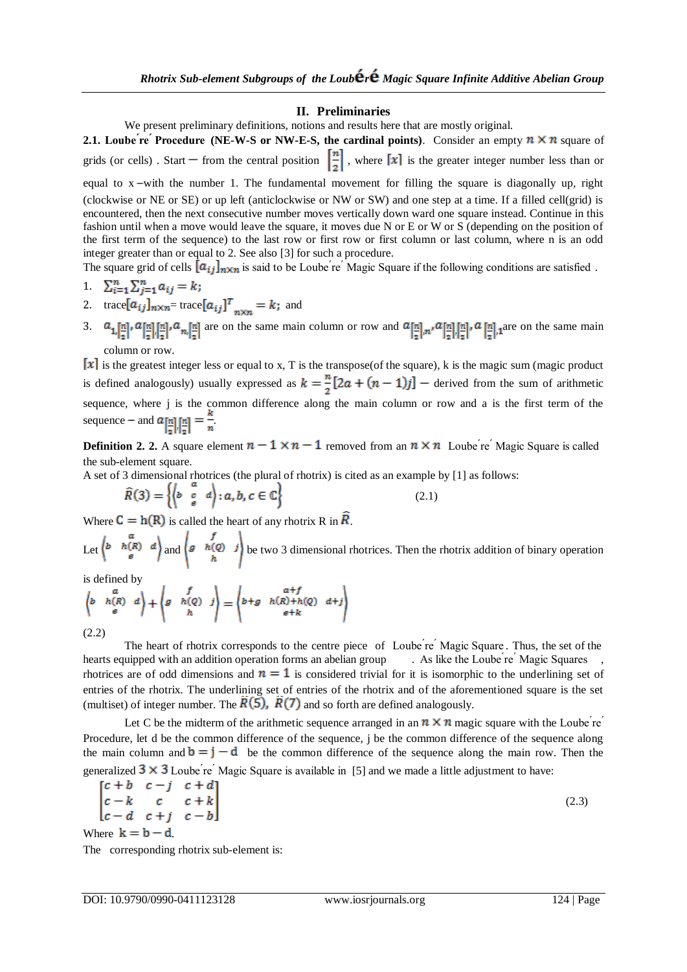## **II. Preliminaries**

We present preliminary definitions, notions and results here that are mostly original.

**2.1.** Loube *re Procedure* (NE-W-S or NW-E-S, the cardinal points). Consider an empty  $n \times n$  square of grids (or cells). Start – from the central position  $\left[\frac{n}{2}\right]$ , where  $\left[x\right]$  is the greater integer number less than or

equal to  $x$ -with the number 1. The fundamental movement for filling the square is diagonally up, right (clockwise or NE or SE) or up left (anticlockwise or NW or SW) and one step at a time. If a filled cell(grid) is encountered, then the next consecutive number moves vertically down ward one square instead. Continue in this fashion until when a move would leave the square, it moves due N or E or W or S (depending on the position of the first term of the sequence) to the last row or first row or first column or last column, where n is an odd integer greater than or equal to 2. See also [3] for such a procedure.

The square grid of cells  $[a_{ij}]_{n\times n}$  is said to be Loube're' Magic Square if the following conditions are satisfied.

$$
1 \quad \sum_{i=1}^n \sum_{j=1}^n a_{ij} = k;
$$

- 2. trace  $[a_{ij}]_{n \times n}$  trace  $[a_{ij}]^T$  = k; and
- 3.  $a_1[\underline{n}], a[\underline{n}] [\underline{n}], a_{\underline{n}}[\underline{n}]$  are on the same main column or row and  $a[\underline{n}]$ ,  $a[\underline{n}] [\underline{n}]$ ,  $a[\underline{n}]$ , are on the same main column or row.

 $\lfloor x \rfloor$  is the greatest integer less or equal to x, T is the transpose(of the square), k is the magic sum (magic product is defined analogously) usually expressed as  $k = \frac{n}{2}[2a + (n-1)j]$  – derived from the sum of arithmetic sequence, where j is the common difference along the main column or row and a is the first term of the sequence – and  $a_{n}$   $\lfloor n \rfloor = -$ .

**Definition 2. 2.** A square element  $n-1 \times n-1$  removed from an  $n \times n$  Loube re Magic Square is called the sub-element square.

A set of 3 dimensional rhotrices (the plural of rhotrix) is cited as an example by [1] as follows:

$$
\widehat{R}(3) = \left\{ \begin{pmatrix} a & a \\ b & c & d \end{pmatrix} : a, b, c \in \mathbb{C} \right\}
$$
\n(2.1)

Where  $C = h(R)$  is called the heart of any rhotrix R in  $R$ .

Let  $\begin{pmatrix} a & b & a \\ b & h(R) & d \end{pmatrix}$  and  $\begin{pmatrix} f & b & d \\ g & h(Q) & j \end{pmatrix}$  be two 3 dimensional rhotrices. Then the rhotrix addition of binary operation

is defined by

$$
\begin{pmatrix} a & b & b \\ b & h(R) & d \\ e & e & h \end{pmatrix} + \begin{pmatrix} f \\ g & h(Q) & j \\ h & h \end{pmatrix} = \begin{pmatrix} a+f & b+f \\ b+g & h(R)+h(Q) & d+j \\ e+k & e+k \end{pmatrix}
$$
 (2.2)

The heart of rhotrix corresponds to the centre piece of Loube're' Magic Square. Thus, the set of the hearts equipped with an addition operation forms an abelian group . As like the Loube re <sup>*Magic Squares*</sup> rhotrices are of odd dimensions and  $n = 1$  is considered trivial for it is isomorphic to the underlining set of entries of the rhotrix. The underlining set of entries of the rhotrix and of the aforementioned square is the set (multiset) of integer number. The  $\overline{R(5)}$ ,  $\overline{R(7)}$  and so forth are defined analogously.

Let C be the midterm of the arithmetic sequence arranged in an  $n \times n$  magic square with the Loube're' Procedure, let d be the common difference of the sequence, j be the common difference of the sequence along the main column and  $\mathbf{b} = \mathbf{j} - \mathbf{d}$  be the common difference of the sequence along the main row. Then the generalized  $3 \times 3$  Loube re  $\overline{C}$  Magic Square is available in [5] and we made a little adjustment to have:

$$
\begin{bmatrix} c+b & c-j & c+d \\ c-k & c & c+k \\ c-d & c+j & c-b \end{bmatrix} \tag{2.3}
$$

Where  $k = b - d$ 

The corresponding rhotrix sub-element is: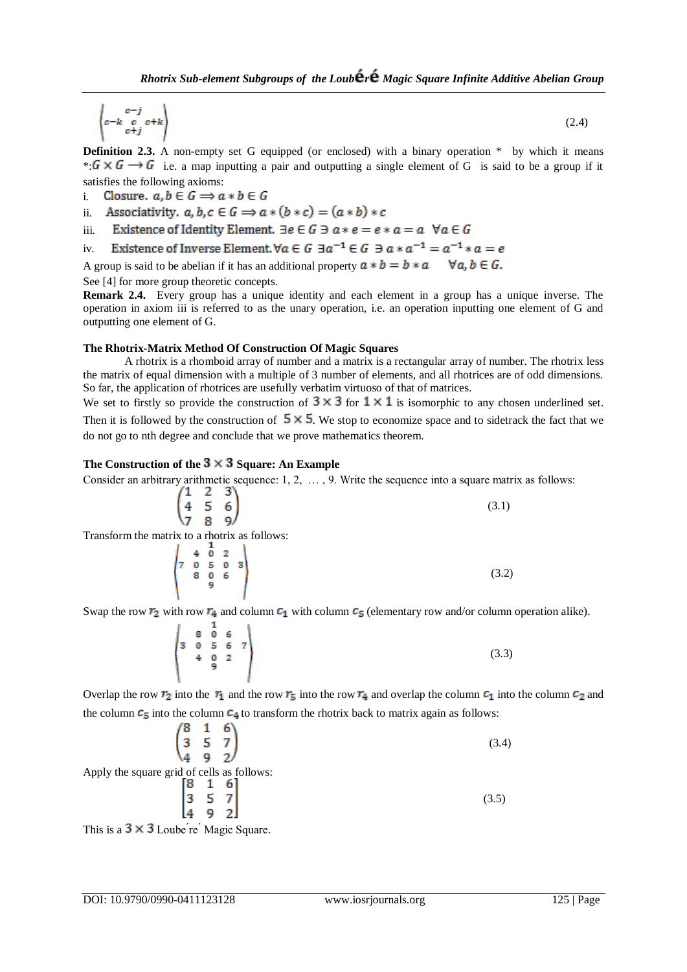$$
\begin{pmatrix} c-j \\ c-k & c & c+k \\ c+j \end{pmatrix} \tag{2.4}
$$

**Definition 2.3.** A non-empty set G equipped (or enclosed) with a binary operation \* by which it means  $\ast$   $G \times G \rightarrow G$  i.e. a map inputting a pair and outputting a single element of G is said to be a group if it satisfies the following axioms:

Closure.  $a, b \in G \Rightarrow a * b \in G$ i.

ii. Associativity. 
$$
a, b, c \in G \implies a * (b * c) = (a * b) * c
$$

- Existence of Identity Element.  $\exists e \in G \exists a * e = e * a = a \ \forall a \in G$ iii.
- Existence of Inverse Element,  $\forall a \in G$   $\exists a^{-1} \in G$   $\exists a * a^{-1} = a^{-1} * a = e$ iv.

A group is said to be abelian if it has an additional property  $a * b = b * a \quad \forall a, b \in G$ .

See [4] for more group theoretic concepts.

**Remark 2.4.** Every group has a unique identity and each element in a group has a unique inverse. The operation in axiom iii is referred to as the unary operation, i.e. an operation inputting one element of G and outputting one element of G.

#### **The Rhotrix-Matrix Method Of Construction Of Magic Squares**

A rhotrix is a rhomboid array of number and a matrix is a rectangular array of number. The rhotrix less the matrix of equal dimension with a multiple of 3 number of elements, and all rhotrices are of odd dimensions. So far, the application of rhotrices are usefully verbatim virtuoso of that of matrices.

We set to firstly so provide the construction of  $3 \times 3$  for  $1 \times 1$  is isomorphic to any chosen underlined set. Then it is followed by the construction of  $5 \times 5$ . We stop to economize space and to sidetrack the fact that we do not go to nth degree and conclude that we prove mathematics theorem.

## The Construction of the  $3 \times 3$  Square: An Example

Consider an arbitrary arithmetic sequence: 1, 2, … , 9. Write the sequence into a square matrix as follows:

$$
\begin{pmatrix}\n1 & 2 & 3 \\
4 & 5 & 6 \\
7 & 8 & 9\n\end{pmatrix}
$$
\n  
\n
$$
\text{Fix to a rhotrix as follows:}
$$
\n(3.1)

Transform the matrix

$$
\begin{pmatrix} 4 & 0 & 2 \\ 7 & 0 & 5 & 0 & 3 \\ 8 & 0 & 6 & 9 \end{pmatrix}
$$
 (3.2)

Swap the row  $r_2$  with row  $r_4$  and column  $c_1$  with column  $c_5$  (elementary row and/or column operation alike).

$$
\begin{pmatrix}\n8 & 1 & 6 \\
3 & 0 & 5 & 6 \\
4 & 0 & 2 \\
9 & 2 & 0\n\end{pmatrix}
$$
\n(3.3)

Overlap the row  $r_2$  into the  $r_1$  and the row  $r_5$  into the row  $r_4$  and overlap the column  $c_1$  into the column  $c_2$  and the column  $c_5$  into the column  $c_4$  to transform the rhotrix back to matrix again as follows:

Apply the square grid of cells as follows:  
\n
$$
\begin{pmatrix}\n8 & 1 & 6 \\
3 & 5 & 7 \\
4 & 9 & 2\n\end{pmatrix}
$$
\n(3.4)  
\n
$$
\begin{pmatrix}\n8 & 1 & 6 \\
3 & 5 & 7 \\
3 & 5 & 7 \\
4 & 9 & 2\n\end{pmatrix}
$$
\n(3.5)

This is a  $3 \times 3$  Loube're' Magic Square.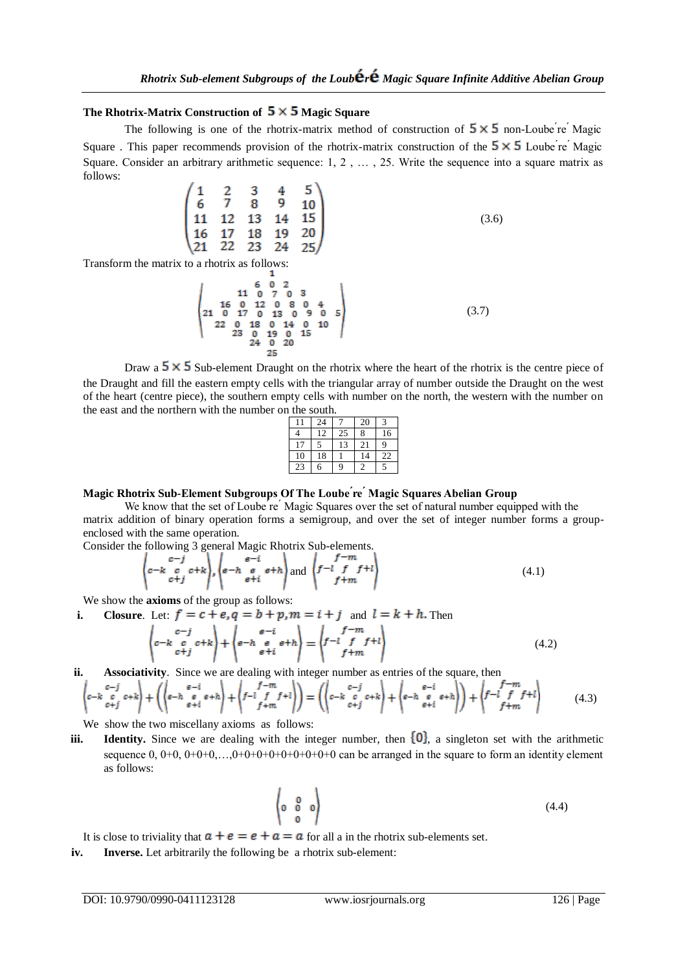## The Rhotrix-Matrix Construction of  $5 \times 5$  Magic Square

The following is one of the rhotrix-matrix method of construction of  $5 \times 5$  non-Loube  $\epsilon$  Magic Square . This paper recommends provision of the rhotrix-matrix construction of the  $5 \times 5$  Loube  $r e^r$  Magic Square. Consider an arbitrary arithmetic sequence: 1, 2 , … , 25. Write the sequence into a square matrix as follows:

$$
\begin{pmatrix}\n1 & 2 & 3 & 4 & 5 \\
6 & 7 & 8 & 9 & 10 \\
11 & 12 & 13 & 14 & 15 \\
16 & 17 & 18 & 19 & 20 \\
21 & 22 & 23 & 24 & 25\n\end{pmatrix}
$$
\n(3.6)

Transform the matrix to a rhotrix as follows:

(3.7)

Draw a  $5 \times 5$  Sub-element Draught on the rhotrix where the heart of the rhotrix is the centre piece of the Draught and fill the eastern empty cells with the triangular array of number outside the Draught on the west of the heart (centre piece), the southern empty cells with number on the north, the western with the number on the east and the northern with the number on the south.

|    | 24 |    | 20 | 2  |
|----|----|----|----|----|
|    | 12 | 25 | 8  | 16 |
| 17 |    | 13 | 21 | q  |
| 10 | 18 |    | 14 | 22 |
| 23 | 6  | g  |    |    |

## **Magic Rhotrix Sub-Element Subgroups Of The Loube ́re ́Magic Squares Abelian Group**

We know that the set of Loube re<sup>'</sup>Magic Squares over the set of natural number equipped with the matrix addition of binary operation forms a semigroup, and over the set of integer number forms a groupenclosed with the same operation.

Consider the following 3 general Magic Rhotrix Sub-elements.

$$
\left\langle c-k \begin{array}{c} c-j \\ c+k \end{array} c + k \right\rangle, \left\langle e-h \begin{array}{c} e-i \\ e+i \end{array} e+h \right\rangle \text{ and } \left\langle f-l \begin{array}{c} f-m \\ f+ m \end{array} f + l \right\rangle \tag{4.1}
$$

We show the **axioms** of the group as follows:

**i. Closure**. Let:  $f = c + e$ ,  $q = b + p$ ,  $m = i + j$  and  $l = k + h$ . Then

$$
\begin{pmatrix} c-j \\ c-k \begin{bmatrix} c & c+k \\ c+j \end{bmatrix} + \begin{pmatrix} e-i \\ e-h \begin{bmatrix} e & e+h \\ e+i \end{bmatrix} \end{pmatrix} = \begin{pmatrix} f-m \\ f & f+t \\ f+m \end{pmatrix}
$$
(4.2)

**ii. Associativity**. Since we are dealing with integer number as entries of the square, then

$$
\begin{pmatrix} c-j \\ c-k & c & c+k \\ c+j \end{pmatrix} + \left( \begin{pmatrix} e-i \\ e-h & e & e+h \\ e+i \end{pmatrix} + \begin{pmatrix} f-m \\ f-i & f & f+l \\ f+m \end{pmatrix} \right) = \left( \begin{pmatrix} c-j \\ c-k & c & c+k \\ c+j & f+k \end{pmatrix} + \begin{pmatrix} e-i \\ e-h & e & e+h \\ e+i & h \end{pmatrix} \right) + \begin{pmatrix} f-m \\ f-f & f+l \\ f+m \end{pmatrix}
$$
(4.3)

We show the two miscellany axioms as follows:

**iii. Identity.** Since we are dealing with the integer number, then  $\{0\}$ , a singleton set with the arithmetic sequence  $0, 0+0, 0+0+0, \ldots, 0+0+0+0+0+0+0+0+0+0$  can be arranged in the square to form an identity element as follows:

$$
\begin{pmatrix} 0 & 0 \\ 0 & 0 \\ 0 & 0 \end{pmatrix} \tag{4.4}
$$

It is close to triviality that  $a + e = e + a = a$  for all a in the rhotrix sub-elements set.

**iv. Inverse.** Let arbitrarily the following be a rhotrix sub-element: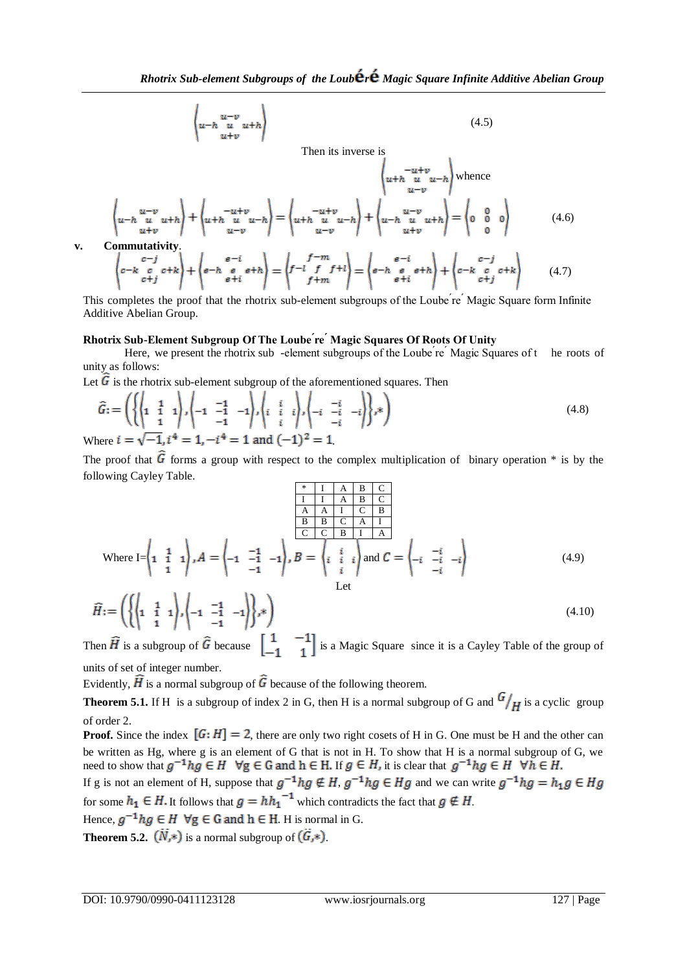$$
\begin{pmatrix} u-v \\ u+h & u & u+h \\ u+v & v & v \end{pmatrix} \tag{4.5}
$$

Then its inverse is  $\left\{\begin{array}{c} -u+v \\ u-v \end{array}\right\}$  whence

$$
\left\langle u - h \begin{array}{c} u - v \\ u + h \end{array} \right\rangle + \left\langle u + h \begin{array}{c} -u + v \\ u - v \end{array} \right\rangle = \left\langle u + h \begin{array}{c} u + v \\ u - u + h \end{array} \right\rangle + \left\langle u - h \begin{array}{c} u - v \\ u - v \end{array} \right\rangle + \left\langle v - h \begin{array}{c} u - v \\ u + h \end{array} \right\rangle = \left\langle 0 \begin{array}{c} 0 \\ 0 \end{array} 0 \right\rangle \tag{4.6}
$$

v. Commutativity.  
\n
$$
\begin{pmatrix}\nc-j\\c-k\\c+j\end{pmatrix} + \begin{pmatrix}\ne-i\\e-h\\e+i\end{pmatrix} = \begin{pmatrix}f-m\\f+f\\f+m\end{pmatrix} = \begin{pmatrix}\ne-i\\e-h\\e+i\end{pmatrix} + \begin{pmatrix}\ne-i\\c-k\\e+i\end{pmatrix} + \begin{pmatrix}\ne-i\\c-k\\e+i\end{pmatrix}
$$
(4.7)

This completes the proof that the rhotrix sub-element subgroups of the Loube re Magic Square form Infinite Additive Abelian Group.

### **Rhotrix Sub-Element Subgroup Of The Loube ́re ́Magic Squares Of Roots Of Unity**

Here, we present the rhotrix sub -element subgroups of the Loube re Magic Squares of t he roots of unity as follows:

Let  $\overline{G}$  is the rhotrix sub-element subgroup of the aforementioned squares. Then

$$
\widehat{G} := \left( \left\{ \left( \begin{matrix} 1 & 1 \\ 1 & 1 \\ 1 & 1 \end{matrix} \right), \left( -1 & \begin{matrix} -1 \\ -1 & -1 \\ -1 & 1 \end{matrix} \right), \left( \begin{matrix} i & i \\ i & i \\ i & 1 \end{matrix} \right), \left( -i & \begin{matrix} -i \\ -i & -i \\ -i & 1 \end{matrix} \right) \right\} \right)
$$
\n
$$
\text{Where } i = \sqrt{-1}, i^4 = 1, -i^4 = 1 \text{ and } (-1)^2 = 1.
$$
\n
$$
(4.8)
$$

The proof that  $\hat{G}$  forms a group with respect to the complex multiplication of binary operation  $*$  is by the following Cayley Table.

$$
\frac{\frac{1}{\text{I}} \left[ \begin{array}{cc} A & B & C \end{array} \right]}{\frac{\text{A}}{\text{B}} \left[ \begin{array}{cc} A & A & I \end{array} \right] \left[ \begin{array}{cc} C & B \end{array} \right]}{\frac{\text{B}}{\text{B}} \left[ \begin{array}{cc} B & C \end{array} \right] \left[ \begin{array}{cc} A & I \end{array} \right]}.
$$
\nWhere I = 
$$
\begin{pmatrix} 1 & 1 & 1 \\ 1 & 1 & 1 \end{pmatrix}, A = \begin{pmatrix} -1 & -1 & -1 \\ -1 & -1 & -1 \end{pmatrix}, B = \begin{pmatrix} i & i \\ i & i \\ i \end{pmatrix} \text{ and } C = \begin{pmatrix} -i & -i \\ -i & -i & -i \\ -i & -i & -i \end{pmatrix}
$$
\nLet

\n(4.9)

$$
\widehat{H} := \left( \left\{ \left( \begin{matrix} 1 & 1 \\ 1 & \frac{1}{1} & 1 \end{matrix} \right), \left( -1 & \begin{matrix} -1 \\ -1 & -1 \end{matrix} \right) \right\}, * \right) \tag{4.10}
$$

Then  $\widehat{H}$  is a subgroup of  $\widehat{G}$  because  $\begin{bmatrix} 1 & -1 \\ -1 & 1 \end{bmatrix}$  is a Magic Square since it is a Cayley Table of the group of units of set of integer number.

Evidently,  $\widehat{H}$  is a normal subgroup of  $\widehat{G}$  because of the following theorem.

**Theorem 5.1.** If H is a subgroup of index 2 in G, then H is a normal subgroup of G and  $\frac{G}{H}$  is a cyclic group of order 2.

**Proof.** Since the index  $[G:H] = 2$ , there are only two right cosets of H in G. One must be H and the other can be written as Hg, where g is an element of G that is not in H. To show that H is a normal subgroup of G, we need to show that  $g^{-1}hg \in H$   $\forall g \in G$  and  $h \in H$ . If  $g \in H$ , it is clear that

If g is not an element of H, suppose that  $g^{-1}hg \notin H$ ,  $g^{-1}hg \in Hg$  and we can write  $g^{-1}hg = h_1g \in Hg$ for some  $h_1 \in H$ . It follows that  $g = hh_1^{-1}$  which contradicts the fact that  $g \notin H$ . Hence,  $g^{-1}hg \in H$   $\forall g \in G$  and  $h \in H$ . H is normal in G.

**Theorem 5.2.**  $(N,*)$  is a normal subgroup of  $(\tilde{G},*)$ .